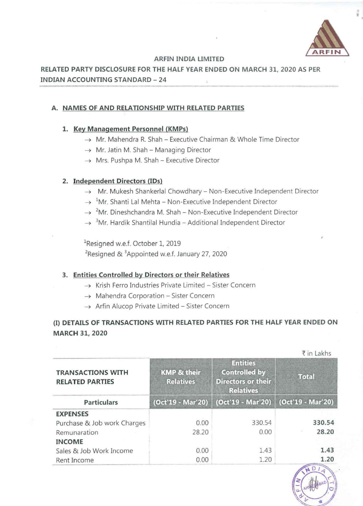

• •

#### **ARFIN INDIA LIMITED**

## **RELATED PARTY DISCLOSURE FOR THE HALF YEAR ENDED ON MARCH 31, 2020 AS PER INDIAN ACCOUNTING STANDARD** - 24

### **A. NAMES OF AND RELATIONSHIP WITH RELATED PARTIES**

### **1. Key Management Personnel (KMPs)**

- $\rightarrow$  Mr. Mahendra R. Shah Executive Chairman & Whole Time Director
- $\rightarrow$  Mr. Jatin M. Shah Managing Director
- $\rightarrow$  Mrs. Pushpa M. Shah Executive Director

### **2. Independent Directors (IDs)**

- $\rightarrow$  Mr. Mukesh Shankerlal Chowdhary Non-Executive Independent Director
- $\rightarrow$  <sup>1</sup>Mr. Shanti Lal Mehta Non-Executive Independent Director
- $\rightarrow$  <sup>2</sup>Mr. Dineshchandra M. Shah Non-Executive Independent Director
- $\rightarrow$  <sup>3</sup>Mr. Hardik Shantilal Hundia Additional Independent Director

<sup>1</sup>Resigned w.e.f. October 1, 2019 <sup>2</sup>Resigned & <sup>3</sup>Appointed w.e.f. January 27, 2020

### **3. Entities Controlled by Directors or their Relatives**

- $\rightarrow$  Krish Ferro Industries Private Limited Sister Concern
- $\rightarrow$  Mahendra Corporation Sister Concern
- $\rightarrow$  Arfin Alucop Private Limited Sister Concern

# **(I) DETAILS OF TRANSACTIONS WITH RELATED PARTIES FOR THE HALF YEAR ENDED ON MARCH 31, 2020**

|                                                    |                                            |                                                                                          | ₹ in Lakhs        |  |  |
|----------------------------------------------------|--------------------------------------------|------------------------------------------------------------------------------------------|-------------------|--|--|
| <b>TRANSACTIONS WITH</b><br><b>RELATED PARTIES</b> | <b>KMP &amp; their</b><br><b>Relatives</b> | <b>Entities</b><br><b>Controlled by</b><br><b>Directors or their</b><br><b>Relatives</b> | <b>Total</b>      |  |  |
| <b>Particulars</b>                                 | (Oct'19 - Mar'20)                          | (Oct'19 - Mar'20)                                                                        | (Oct'19 - Mar'20) |  |  |
| <b>EXPENSES</b>                                    |                                            |                                                                                          |                   |  |  |
| Purchase & Job work Charges                        | 0.00                                       | 330.54                                                                                   | 330.54            |  |  |
| Remunaration                                       | 28.20                                      | 0.00                                                                                     | 28.20             |  |  |
| <b>INCOME</b>                                      |                                            |                                                                                          |                   |  |  |
| Sales & Job Work Income                            | 0.00                                       | 1.43                                                                                     | 1.43              |  |  |
| Rent Income                                        | 0.00                                       | 1.20                                                                                     | 1.20              |  |  |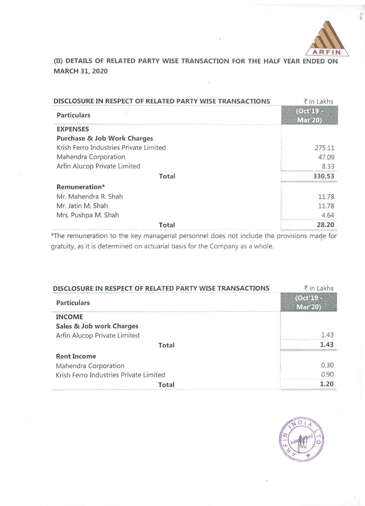

# (II) **DETAILS OF RELATED PARTY WISE TRANSACTION FOR THE HALF YEAR ENDED ON MARCH 31, 2020**

| DISCLOSURE IN RESPECT OF RELATED PARTY WISE TRANSACTIONS | ₹ in Lakhs                  |
|----------------------------------------------------------|-----------------------------|
| <b>Particulars</b>                                       | (Oct'19 -<br><b>Mar'20)</b> |
| <b>EXPENSES</b>                                          |                             |
| Purchase & Job Work Charges                              |                             |
| Krish Ferro Industries Private Limited                   | 275.11                      |
| Mahendra Corporation                                     | 47.09                       |
| Arfin Alucop Private Limited                             | 8.33                        |
| Total                                                    | 330.53                      |
| Remuneration*                                            |                             |
| Mr. Mahendra R. Shah                                     | 11.78                       |
| Mr. Jatin M. Shah                                        | 11.78                       |
| Mrs. Pushpa M. Shah                                      | 4.64                        |
| Total                                                    | 28.20                       |

\*The remuneration to the key managerial personnel does not include the provisions made for gratuity, as it is determined on actuarial basis for the Company as a whole.

| DISCLOSURE IN RESPECT OF RELATED PARTY WISE TRANSACTIONS | ₹ in Lakhs                    |
|----------------------------------------------------------|-------------------------------|
| <b>Particulars</b>                                       | $(Oct'19 -$<br><b>Mar'20)</b> |
| <b>INCOME</b>                                            |                               |
| Sales & Job work Charges                                 |                               |
| Arfin Alucop Private Limited                             | 1.43                          |
| Total                                                    | 1.43                          |
| <b>Rent Income</b>                                       |                               |
| Mahendra Corporation                                     | 0.30                          |
| Krish Ferro Industries Private Limited                   | 0.90                          |
| Total                                                    | 1.20                          |

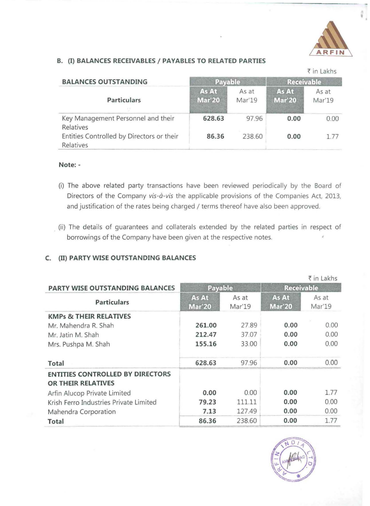

•

 $\mp$  in Lakehsen

### **B. (I) BALANCES RECEIVABLES I PAYABLES TO RELATED PARTIES**

| <b>BALANCES OUTSTANDING</b>                            | <b>Payable</b>         |                 | <b>Receivable</b>             |                 |
|--------------------------------------------------------|------------------------|-----------------|-------------------------------|-----------------|
| <b>Particulars</b>                                     | As At<br><b>Mar'20</b> | As at<br>Mar'19 | <b>As At</b><br><b>Mar'20</b> | As at<br>Mar'19 |
| Key Management Personnel and their<br>Relatives        | 628.63                 | 97.96           | 0.00                          | 0.00            |
| Entities Controlled by Directors or their<br>Relatives | 86.36                  | 238.60          | 0.00                          | 1.77            |

### **Note:** -

- (i) The above related party transactions have been reviewed periodically by the Board of Directors of the Company vis-à-vis the applicable provisions of the Companies Act, 2013, and justification of the rates being charged / terms thereof have also been approved.
- (ii) The details of guarantees and collaterals extended by the related parties in respect of borrowings of the Company have been given at the respective notes.

### **C.** (II) **PARTY WISE OUTSTANDING BALANCES**

|                                                               |                        |                 |                        | ₹ in Lakhs      |
|---------------------------------------------------------------|------------------------|-----------------|------------------------|-----------------|
| PARTY WISE OUTSTANDING BALANCES                               | Payable                |                 | <b>Receivable</b>      |                 |
| <b>Particulars</b>                                            | As At<br><b>Mar'20</b> | As at<br>Mar'19 | As At<br><b>Mar'20</b> | As at<br>Mar'19 |
| <b>KMPs &amp; THEIR RELATIVES</b>                             |                        |                 |                        |                 |
| Mr. Mahendra R. Shah                                          | 261.00                 | 27.89           | 0.00                   | 0.00            |
| Mr. Jatin M. Shah                                             | 212.47                 | 37.07           | 0.00                   | 0.00            |
| Mrs. Pushpa M. Shah                                           | 155.16                 | 33.00           | 0.00                   | 0.00            |
| Total                                                         | 628.63                 | 97.96           | 0.00                   | 0.00            |
| <b>ENTITIES CONTROLLED BY DIRECTORS</b><br>OR THEIR RELATIVES |                        |                 |                        |                 |
| Arfin Alucop Private Limited                                  | 0.00                   | 0.00            | 0.00                   | 1.77            |
| Krish Ferro Industries Private Limited                        | 79.23                  | 111.11          | 0.00                   | 0.00            |
| Mahendra Corporation                                          | 7.13                   | 127.49          | 0.00                   | 0.00            |
| Total                                                         | 86.36                  | 238.60          | 0.00                   | 1.77            |